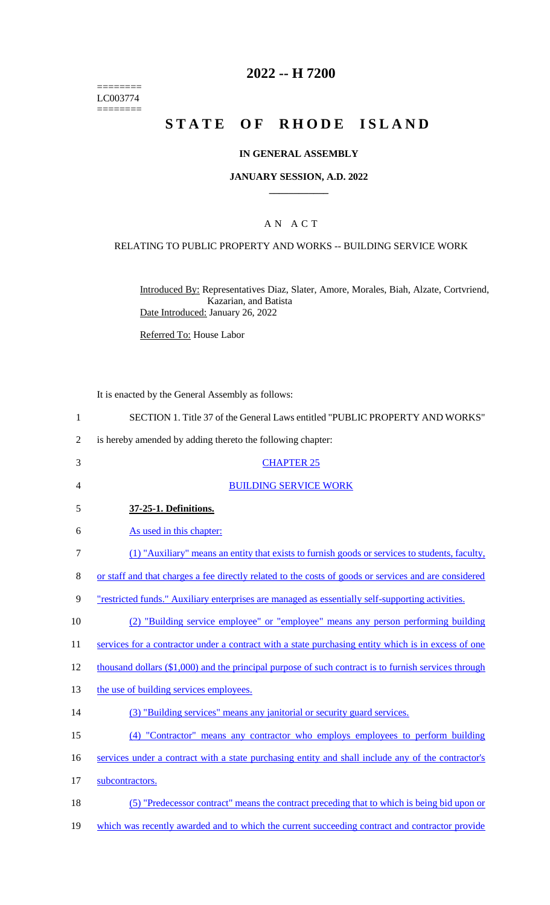======== LC003774  $=$ 

# **2022 -- H 7200**

# **STATE OF RHODE ISLAND**

# **IN GENERAL ASSEMBLY**

### **JANUARY SESSION, A.D. 2022 \_\_\_\_\_\_\_\_\_\_\_\_**

### A N A C T

# RELATING TO PUBLIC PROPERTY AND WORKS -- BUILDING SERVICE WORK

Introduced By: Representatives Diaz, Slater, Amore, Morales, Biah, Alzate, Cortvriend, Kazarian, and Batista Date Introduced: January 26, 2022

Referred To: House Labor

It is enacted by the General Assembly as follows:

| 1              | SECTION 1. Title 37 of the General Laws entitled "PUBLIC PROPERTY AND WORKS"                          |
|----------------|-------------------------------------------------------------------------------------------------------|
| $\overline{2}$ | is hereby amended by adding thereto the following chapter:                                            |
| 3              | <b>CHAPTER 25</b>                                                                                     |
| 4              | <b>BUILDING SERVICE WORK</b>                                                                          |
| 5              | 37-25-1. Definitions.                                                                                 |
| 6              | As used in this chapter:                                                                              |
| 7              | (1) "Auxiliary" means an entity that exists to furnish goods or services to students, faculty,        |
| 8              | or staff and that charges a fee directly related to the costs of goods or services and are considered |
| 9              | "restricted funds." Auxiliary enterprises are managed as essentially self-supporting activities.      |
| 10             | (2) "Building service employee" or "employee" means any person performing building                    |
| 11             | services for a contractor under a contract with a state purchasing entity which is in excess of one   |
| 12             | thousand dollars (\$1,000) and the principal purpose of such contract is to furnish services through  |
| 13             | the use of building services employees.                                                               |
| 14             | (3) "Building services" means any janitorial or security guard services.                              |
| 15             | (4) "Contractor" means any contractor who employs employees to perform building                       |
| 16             | services under a contract with a state purchasing entity and shall include any of the contractor's    |
| 17             | subcontractors.                                                                                       |
| 18             | (5) "Predecessor contract" means the contract preceding that to which is being bid upon or            |
| 19             | which was recently awarded and to which the current succeeding contract and contractor provide        |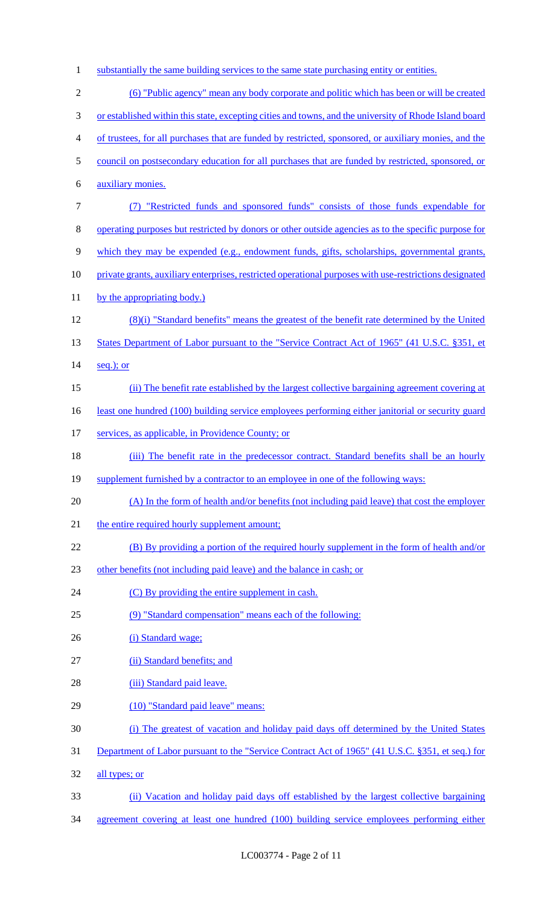- 1 substantially the same building services to the same state purchasing entity or entities. 2 (6) "Public agency" mean any body corporate and politic which has been or will be created 3 or established within this state, excepting cities and towns, and the university of Rhode Island board 4 of trustees, for all purchases that are funded by restricted, sponsored, or auxiliary monies, and the 5 council on postsecondary education for all purchases that are funded by restricted, sponsored, or 6 auxiliary monies. 7 (7) "Restricted funds and sponsored funds" consists of those funds expendable for 8 operating purposes but restricted by donors or other outside agencies as to the specific purpose for 9 which they may be expended (e.g., endowment funds, gifts, scholarships, governmental grants, 10 private grants, auxiliary enterprises, restricted operational purposes with use-restrictions designated 11 by the appropriating body.) 12 (8)(i) "Standard benefits" means the greatest of the benefit rate determined by the United 13 States Department of Labor pursuant to the "Service Contract Act of 1965" (41 U.S.C. §351, et 14 seq.); or 15 (ii) The benefit rate established by the largest collective bargaining agreement covering at 16 least one hundred (100) building service employees performing either janitorial or security guard 17 services, as applicable, in Providence County; or 18 (iii) The benefit rate in the predecessor contract. Standard benefits shall be an hourly 19 supplement furnished by a contractor to an employee in one of the following ways: 20 (A) In the form of health and/or benefits (not including paid leave) that cost the employer 21 the entire required hourly supplement amount; 22 (B) By providing a portion of the required hourly supplement in the form of health and/or 23 other benefits (not including paid leave) and the balance in cash; or 24 (C) By providing the entire supplement in cash. 25 (9) "Standard compensation" means each of the following: 26 (i) Standard wage; 27 (ii) Standard benefits; and 28 (iii) Standard paid leave. 29 (10) "Standard paid leave" means: 30 (i) The greatest of vacation and holiday paid days off determined by the United States 31 Department of Labor pursuant to the "Service Contract Act of 1965" (41 U.S.C. §351, et seq.) for 32 all types; or 33 (ii) Vacation and holiday paid days off established by the largest collective bargaining
- 34 agreement covering at least one hundred (100) building service employees performing either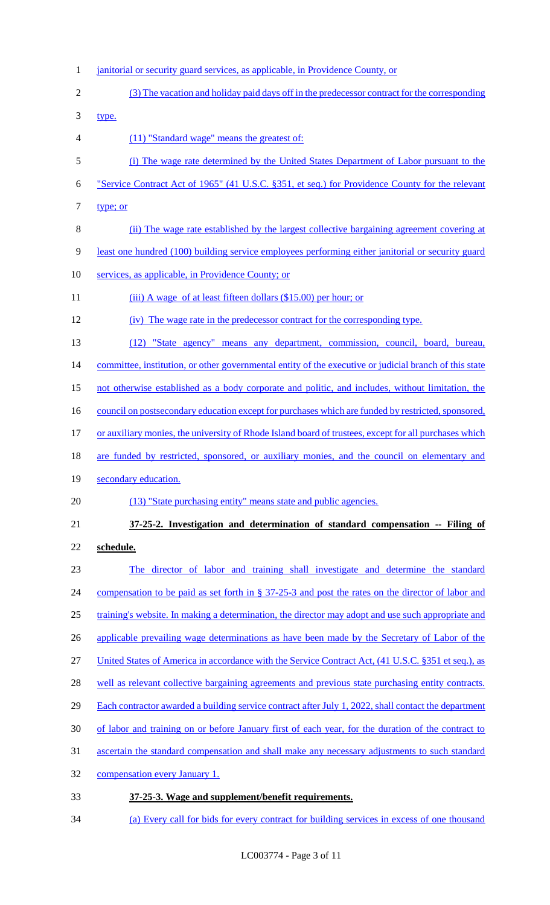- 1 janitorial or security guard services, as applicable, in Providence County, or (3) The vacation and holiday paid days off in the predecessor contract for the corresponding type. (11) "Standard wage" means the greatest of: (i) The wage rate determined by the United States Department of Labor pursuant to the "Service Contract Act of 1965" (41 U.S.C. §351, et seq.) for Providence County for the relevant 7 type; or (ii) The wage rate established by the largest collective bargaining agreement covering at least one hundred (100) building service employees performing either janitorial or security guard services, as applicable, in Providence County; or 11 (iii) A wage of at least fifteen dollars (\$15.00) per hour; or (iv) The wage rate in the predecessor contract for the corresponding type. (12) "State agency" means any department, commission, council, board, bureau, committee, institution, or other governmental entity of the executive or judicial branch of this state 15 not otherwise established as a body corporate and politic, and includes, without limitation, the 16 council on postsecondary education except for purchases which are funded by restricted, sponsored, 17 or auxiliary monies, the university of Rhode Island board of trustees, except for all purchases which are funded by restricted, sponsored, or auxiliary monies, and the council on elementary and 19 secondary education. 20 (13) "State purchasing entity" means state and public agencies. **37-25-2. Investigation and determination of standard compensation -- Filing of schedule.**  The director of labor and training shall investigate and determine the standard 24 compensation to be paid as set forth in § 37-25-3 and post the rates on the director of labor and training's website. In making a determination, the director may adopt and use such appropriate and 26 applicable prevailing wage determinations as have been made by the Secretary of Labor of the United States of America in accordance with the Service Contract Act, (41 U.S.C. §351 et seq.), as well as relevant collective bargaining agreements and previous state purchasing entity contracts. Each contractor awarded a building service contract after July 1, 2022, shall contact the department of labor and training on or before January first of each year, for the duration of the contract to ascertain the standard compensation and shall make any necessary adjustments to such standard compensation every January 1. **37-25-3. Wage and supplement/benefit requirements.**
- (a) Every call for bids for every contract for building services in excess of one thousand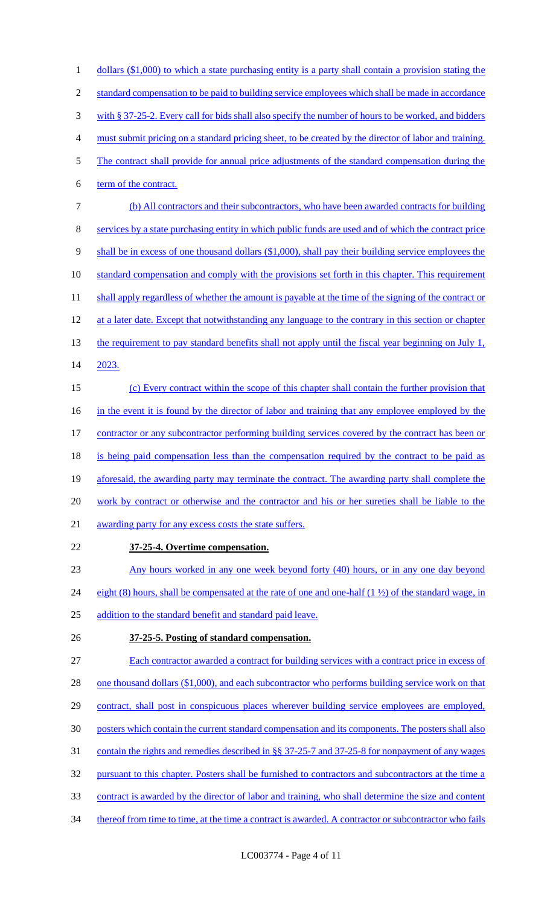1 dollars (\$1,000) to which a state purchasing entity is a party shall contain a provision stating the 2 standard compensation to be paid to building service employees which shall be made in accordance 3 with § 37-25-2. Every call for bids shall also specify the number of hours to be worked, and bidders 4 must submit pricing on a standard pricing sheet, to be created by the director of labor and training. 5 The contract shall provide for annual price adjustments of the standard compensation during the 6 term of the contract. 7 (b) All contractors and their subcontractors, who have been awarded contracts for building 8 services by a state purchasing entity in which public funds are used and of which the contract price 9 shall be in excess of one thousand dollars (\$1,000), shall pay their building service employees the 10 standard compensation and comply with the provisions set forth in this chapter. This requirement 11 shall apply regardless of whether the amount is payable at the time of the signing of the contract or 12 at a later date. Except that notwithstanding any language to the contrary in this section or chapter 13 the requirement to pay standard benefits shall not apply until the fiscal year beginning on July 1, 14 2023. 15 (c) Every contract within the scope of this chapter shall contain the further provision that 16 in the event it is found by the director of labor and training that any employee employed by the 17 contractor or any subcontractor performing building services covered by the contract has been or 18 is being paid compensation less than the compensation required by the contract to be paid as 19 aforesaid, the awarding party may terminate the contract. The awarding party shall complete the 20 work by contract or otherwise and the contractor and his or her sureties shall be liable to the 21 awarding party for any excess costs the state suffers. 22 **37-25-4. Overtime compensation.**  23 Any hours worked in any one week beyond forty (40) hours, or in any one day beyond 24 eight (8) hours, shall be compensated at the rate of one and one-half  $(1 \frac{1}{2})$  of the standard wage, in 25 addition to the standard benefit and standard paid leave. 26 **37-25-5. Posting of standard compensation.**  27 Each contractor awarded a contract for building services with a contract price in excess of 28 one thousand dollars (\$1,000), and each subcontractor who performs building service work on that 29 contract, shall post in conspicuous places wherever building service employees are employed, 30 posters which contain the current standard compensation and its components. The posters shall also 31 contain the rights and remedies described in §§ 37-25-7 and 37-25-8 for nonpayment of any wages 32 pursuant to this chapter. Posters shall be furnished to contractors and subcontractors at the time a 33 contract is awarded by the director of labor and training, who shall determine the size and content 34 thereof from time to time, at the time a contract is awarded. A contractor or subcontractor who fails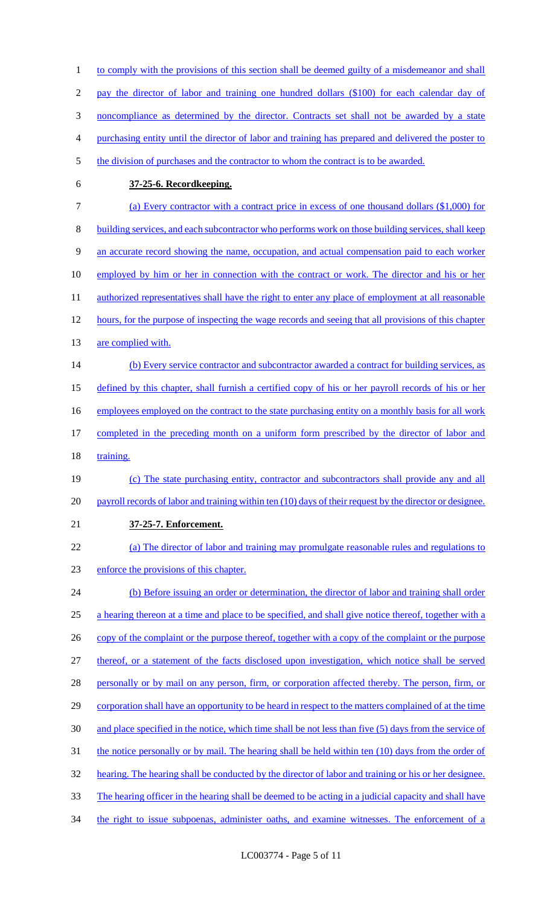1 to comply with the provisions of this section shall be deemed guilty of a misdemeanor and shall 2 pay the director of labor and training one hundred dollars (\$100) for each calendar day of 3 noncompliance as determined by the director. Contracts set shall not be awarded by a state 4 purchasing entity until the director of labor and training has prepared and delivered the poster to 5 the division of purchases and the contractor to whom the contract is to be awarded. 6 **37-25-6. Recordkeeping.**  7 (a) Every contractor with a contract price in excess of one thousand dollars (\$1,000) for 8 building services, and each subcontractor who performs work on those building services, shall keep 9 an accurate record showing the name, occupation, and actual compensation paid to each worker 10 employed by him or her in connection with the contract or work. The director and his or her 11 authorized representatives shall have the right to enter any place of employment at all reasonable 12 hours, for the purpose of inspecting the wage records and seeing that all provisions of this chapter 13 are complied with. 14 (b) Every service contractor and subcontractor awarded a contract for building services, as 15 defined by this chapter, shall furnish a certified copy of his or her payroll records of his or her 16 employees employed on the contract to the state purchasing entity on a monthly basis for all work 17 completed in the preceding month on a uniform form prescribed by the director of labor and 18 training. 19 (c) The state purchasing entity, contractor and subcontractors shall provide any and all 20 payroll records of labor and training within ten (10) days of their request by the director or designee. 21 **37-25-7. Enforcement.**  22 (a) The director of labor and training may promulgate reasonable rules and regulations to 23 enforce the provisions of this chapter. 24 (b) Before issuing an order or determination, the director of labor and training shall order 25 a hearing thereon at a time and place to be specified, and shall give notice thereof, together with a 26 copy of the complaint or the purpose thereof, together with a copy of the complaint or the purpose 27 thereof, or a statement of the facts disclosed upon investigation, which notice shall be served 28 personally or by mail on any person, firm, or corporation affected thereby. The person, firm, or 29 corporation shall have an opportunity to be heard in respect to the matters complained of at the time 30 and place specified in the notice, which time shall be not less than five (5) days from the service of 31 the notice personally or by mail. The hearing shall be held within ten (10) days from the order of 32 hearing. The hearing shall be conducted by the director of labor and training or his or her designee. 33 The hearing officer in the hearing shall be deemed to be acting in a judicial capacity and shall have 34 the right to issue subpoenas, administer oaths, and examine witnesses. The enforcement of a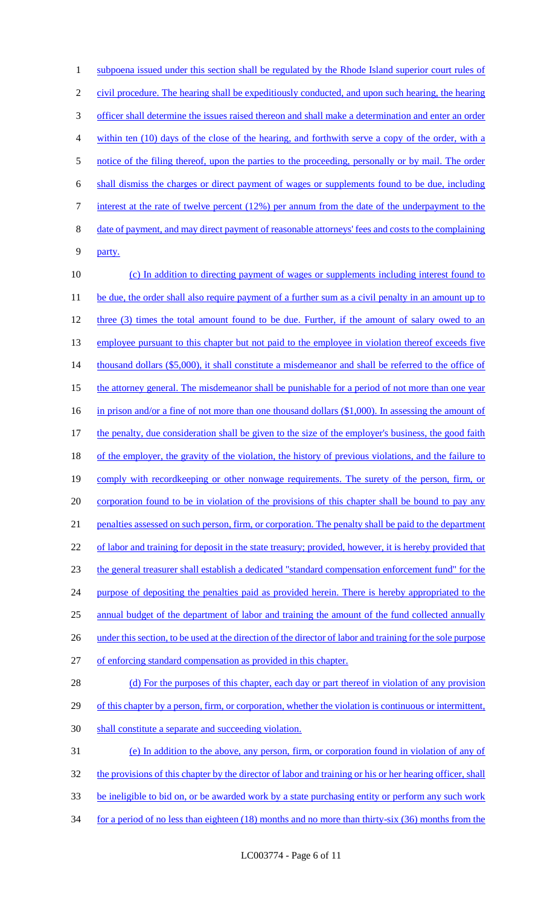1 subpoena issued under this section shall be regulated by the Rhode Island superior court rules of 2 civil procedure. The hearing shall be expeditiously conducted, and upon such hearing, the hearing 3 officer shall determine the issues raised thereon and shall make a determination and enter an order 4 within ten (10) days of the close of the hearing, and forthwith serve a copy of the order, with a 5 notice of the filing thereof, upon the parties to the proceeding, personally or by mail. The order 6 shall dismiss the charges or direct payment of wages or supplements found to be due, including 7 interest at the rate of twelve percent (12%) per annum from the date of the underpayment to the 8 date of payment, and may direct payment of reasonable attorneys' fees and costs to the complaining 9 party. 10 (c) In addition to directing payment of wages or supplements including interest found to 11 be due, the order shall also require payment of a further sum as a civil penalty in an amount up to 12 three (3) times the total amount found to be due. Further, if the amount of salary owed to an 13 employee pursuant to this chapter but not paid to the employee in violation thereof exceeds five 14 thousand dollars (\$5,000), it shall constitute a misdemeanor and shall be referred to the office of 15 the attorney general. The misdemeanor shall be punishable for a period of not more than one year 16 in prison and/or a fine of not more than one thousand dollars (\$1,000). In assessing the amount of 17 the penalty, due consideration shall be given to the size of the employer's business, the good faith 18 of the employer, the gravity of the violation, the history of previous violations, and the failure to 19 comply with recordkeeping or other nonwage requirements. The surety of the person, firm, or 20 corporation found to be in violation of the provisions of this chapter shall be bound to pay any 21 penalties assessed on such person, firm, or corporation. The penalty shall be paid to the department 22 of labor and training for deposit in the state treasury; provided, however, it is hereby provided that 23 the general treasurer shall establish a dedicated "standard compensation enforcement fund" for the 24 purpose of depositing the penalties paid as provided herein. There is hereby appropriated to the 25 annual budget of the department of labor and training the amount of the fund collected annually 26 under this section, to be used at the direction of the director of labor and training for the sole purpose 27 of enforcing standard compensation as provided in this chapter. 28 (d) For the purposes of this chapter, each day or part thereof in violation of any provision 29 of this chapter by a person, firm, or corporation, whether the violation is continuous or intermittent, 30 shall constitute a separate and succeeding violation.

 (e) In addition to the above, any person, firm, or corporation found in violation of any of the provisions of this chapter by the director of labor and training or his or her hearing officer, shall be ineligible to bid on, or be awarded work by a state purchasing entity or perform any such work for a period of no less than eighteen (18) months and no more than thirty-six (36) months from the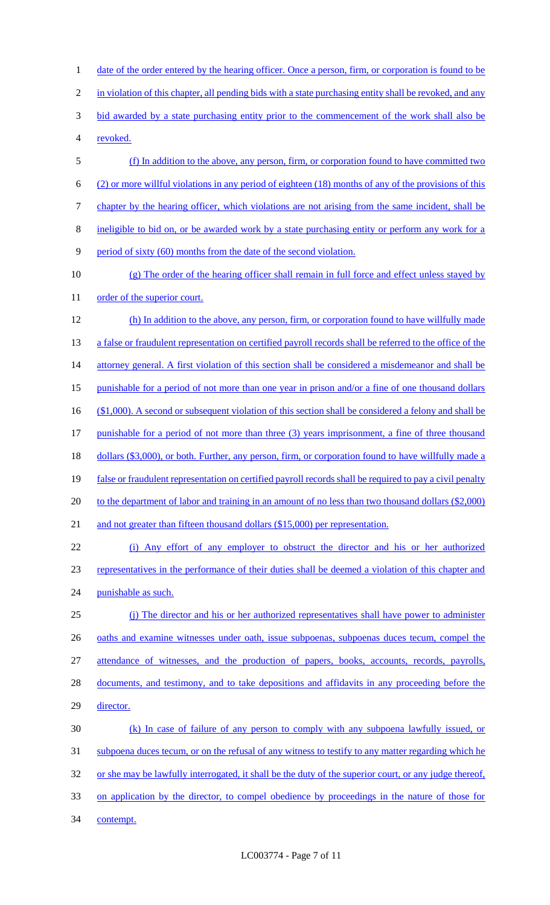2 in violation of this chapter, all pending bids with a state purchasing entity shall be revoked, and any 3 bid awarded by a state purchasing entity prior to the commencement of the work shall also be 4 revoked. 5 (f) In addition to the above, any person, firm, or corporation found to have committed two 6 (2) or more willful violations in any period of eighteen (18) months of any of the provisions of this 7 chapter by the hearing officer, which violations are not arising from the same incident, shall be 8 ineligible to bid on, or be awarded work by a state purchasing entity or perform any work for a 9 period of sixty (60) months from the date of the second violation. 10 (g) The order of the hearing officer shall remain in full force and effect unless stayed by 11 order of the superior court. 12 (h) In addition to the above, any person, firm, or corporation found to have willfully made 13 a false or fraudulent representation on certified payroll records shall be referred to the office of the 14 attorney general. A first violation of this section shall be considered a misdemeanor and shall be 15 punishable for a period of not more than one year in prison and/or a fine of one thousand dollars 16 (\$1,000). A second or subsequent violation of this section shall be considered a felony and shall be 17 punishable for a period of not more than three (3) years imprisonment, a fine of three thousand 18 dollars (\$3,000), or both. Further, any person, firm, or corporation found to have willfully made a 19 false or fraudulent representation on certified payroll records shall be required to pay a civil penalty 20 to the department of labor and training in an amount of no less than two thousand dollars (\$2,000) 21 and not greater than fifteen thousand dollars (\$15,000) per representation. 22 (i) Any effort of any employer to obstruct the director and his or her authorized 23 representatives in the performance of their duties shall be deemed a violation of this chapter and 24 punishable as such. 25 (j) The director and his or her authorized representatives shall have power to administer 26 oaths and examine witnesses under oath, issue subpoenas, subpoenas duces tecum, compel the 27 attendance of witnesses, and the production of papers, books, accounts, records, payrolls, 28 documents, and testimony, and to take depositions and affidavits in any proceeding before the 29 director. 30 (k) In case of failure of any person to comply with any subpoena lawfully issued, or 31 subpoena duces tecum, or on the refusal of any witness to testify to any matter regarding which he 32 or she may be lawfully interrogated, it shall be the duty of the superior court, or any judge thereof, 33 on application by the director, to compel obedience by proceedings in the nature of those for 34 contempt.

1 date of the order entered by the hearing officer. Once a person, firm, or corporation is found to be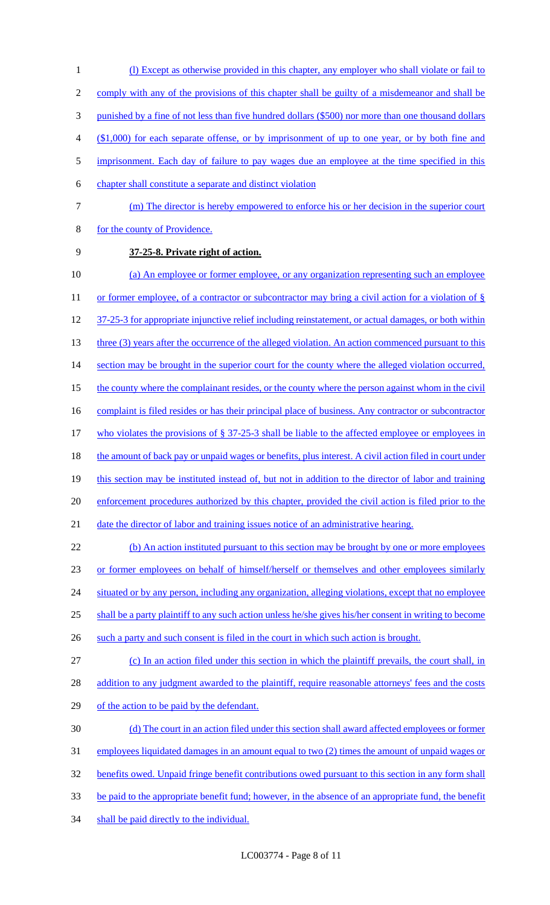2 comply with any of the provisions of this chapter shall be guilty of a misdemeanor and shall be 3 punished by a fine of not less than five hundred dollars (\$500) nor more than one thousand dollars 4 (\$1,000) for each separate offense, or by imprisonment of up to one year, or by both fine and 5 imprisonment. Each day of failure to pay wages due an employee at the time specified in this 6 chapter shall constitute a separate and distinct violation 7 (m) The director is hereby empowered to enforce his or her decision in the superior court 8 for the county of Providence. 9 **37-25-8. Private right of action.**  10 (a) An employee or former employee, or any organization representing such an employee 11 or former employee, of a contractor or subcontractor may bring a civil action for a violation of § 12 37-25-3 for appropriate injunctive relief including reinstatement, or actual damages, or both within 13 three (3) years after the occurrence of the alleged violation. An action commenced pursuant to this 14 section may be brought in the superior court for the county where the alleged violation occurred, 15 the county where the complainant resides, or the county where the person against whom in the civil 16 complaint is filed resides or has their principal place of business. Any contractor or subcontractor 17 who violates the provisions of § 37-25-3 shall be liable to the affected employee or employees in 18 the amount of back pay or unpaid wages or benefits, plus interest. A civil action filed in court under 19 this section may be instituted instead of, but not in addition to the director of labor and training 20 enforcement procedures authorized by this chapter, provided the civil action is filed prior to the 21 date the director of labor and training issues notice of an administrative hearing. 22 (b) An action instituted pursuant to this section may be brought by one or more employees 23 or former employees on behalf of himself/herself or themselves and other employees similarly 24 situated or by any person, including any organization, alleging violations, except that no employee 25 shall be a party plaintiff to any such action unless he/she gives his/her consent in writing to become 26 such a party and such consent is filed in the court in which such action is brought. 27 (c) In an action filed under this section in which the plaintiff prevails, the court shall, in 28 addition to any judgment awarded to the plaintiff, require reasonable attorneys' fees and the costs 29 of the action to be paid by the defendant.

1 (l) Except as otherwise provided in this chapter, any employer who shall violate or fail to

 (d) The court in an action filed under this section shall award affected employees or former employees liquidated damages in an amount equal to two (2) times the amount of unpaid wages or 32 benefits owed. Unpaid fringe benefit contributions owed pursuant to this section in any form shall be paid to the appropriate benefit fund; however, in the absence of an appropriate fund, the benefit

34 shall be paid directly to the individual.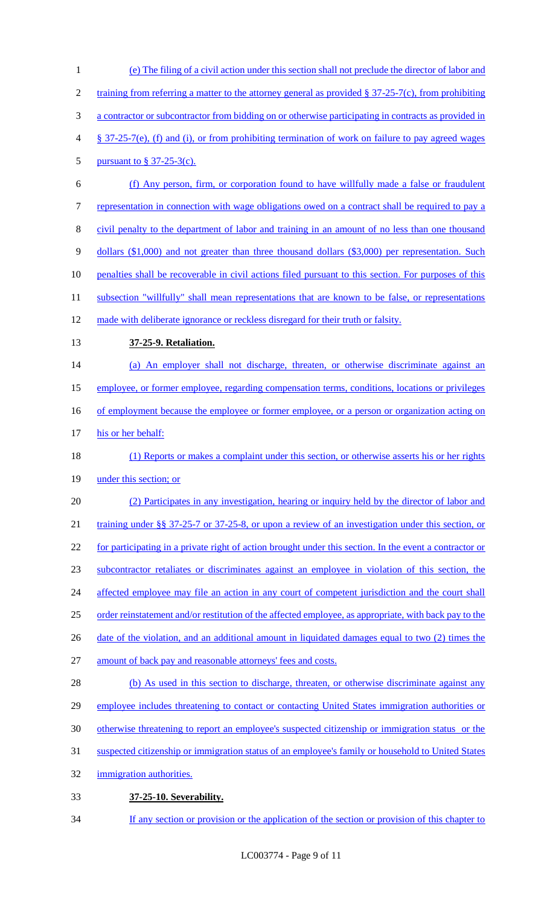(e) The filing of a civil action under this section shall not preclude the director of labor and 2 training from referring a matter to the attorney general as provided § 37-25-7(c), from prohibiting a contractor or subcontractor from bidding on or otherwise participating in contracts as provided in § 37-25-7(e), (f) and (i), or from prohibiting termination of work on failure to pay agreed wages pursuant to § 37-25-3(c). (f) Any person, firm, or corporation found to have willfully made a false or fraudulent representation in connection with wage obligations owed on a contract shall be required to pay a civil penalty to the department of labor and training in an amount of no less than one thousand dollars (\$1,000) and not greater than three thousand dollars (\$3,000) per representation. Such penalties shall be recoverable in civil actions filed pursuant to this section. For purposes of this 11 subsection "willfully" shall mean representations that are known to be false, or representations 12 made with deliberate ignorance or reckless disregard for their truth or falsity. **37-25-9. Retaliation.**  (a) An employer shall not discharge, threaten, or otherwise discriminate against an 15 employee, or former employee, regarding compensation terms, conditions, locations or privileges 16 of employment because the employee or former employee, or a person or organization acting on 17 his or her behalf: (1) Reports or makes a complaint under this section, or otherwise asserts his or her rights under this section; or (2) Participates in any investigation, hearing or inquiry held by the director of labor and 21 training under §§ 37-25-7 or 37-25-8, or upon a review of an investigation under this section, or for participating in a private right of action brought under this section. In the event a contractor or subcontractor retaliates or discriminates against an employee in violation of this section, the 24 affected employee may file an action in any court of competent jurisdiction and the court shall order reinstatement and/or restitution of the affected employee, as appropriate, with back pay to the 26 date of the violation, and an additional amount in liquidated damages equal to two (2) times the amount of back pay and reasonable attorneys' fees and costs. 28 (b) As used in this section to discharge, threaten, or otherwise discriminate against any employee includes threatening to contact or contacting United States immigration authorities or otherwise threatening to report an employee's suspected citizenship or immigration status or the suspected citizenship or immigration status of an employee's family or household to United States immigration authorities. **37-25-10. Severability.** 

34 If any section or provision or the application of the section or provision of this chapter to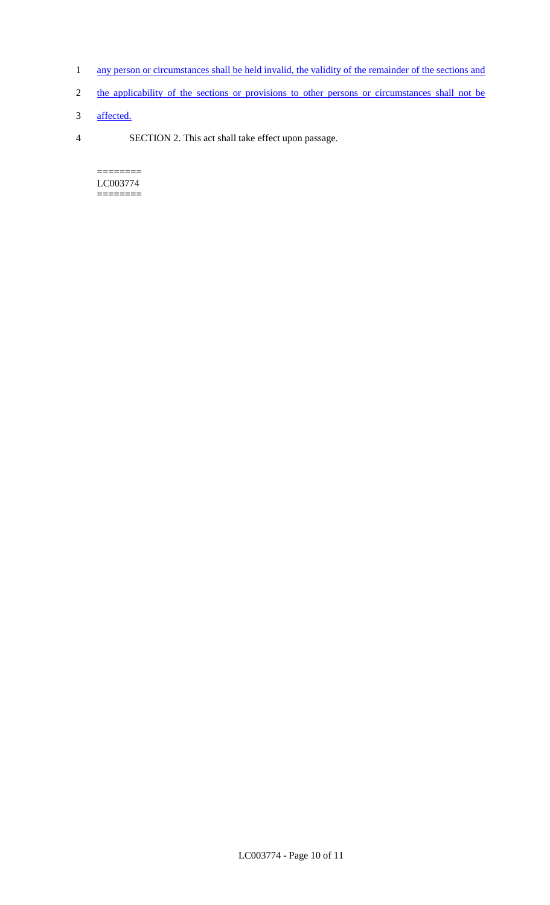- 1 any person or circumstances shall be held invalid, the validity of the remainder of the sections and
- 2 the applicability of the sections or provisions to other persons or circumstances shall not be
- 3 affected.
- 4 SECTION 2. This act shall take effect upon passage.

======== LC003774 ========